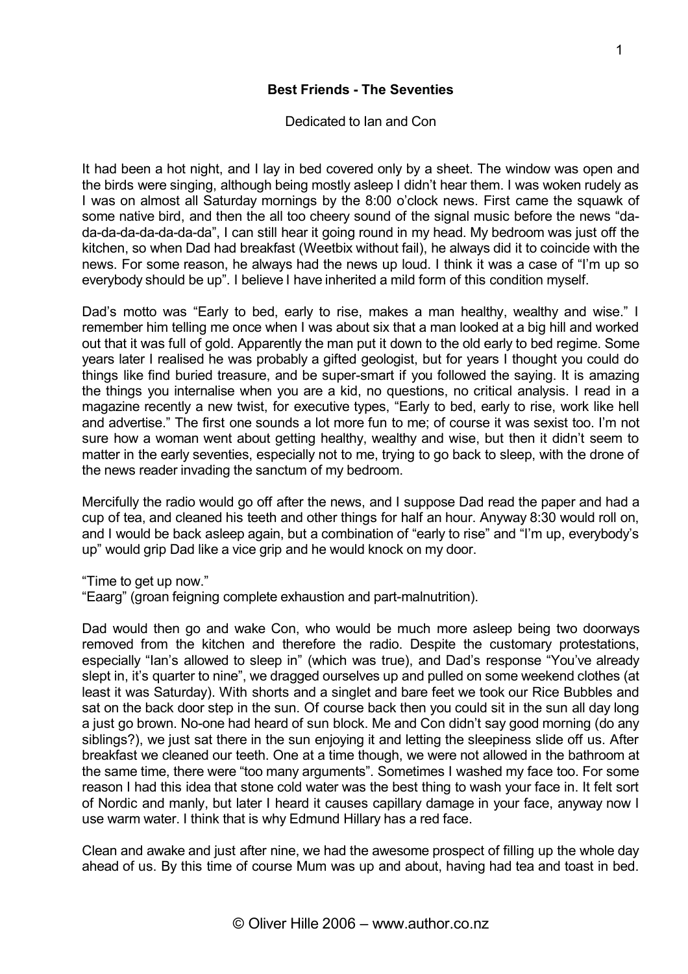## Dedicated to Ian and Con

**Best Friends - The Seventies**

It had been a hot night, and I lay in bed covered only by a sheet. The window was open and the birds were singing, although being mostly asleep I didn't hear them. I was woken rudely as I was on almost all Saturday mornings by the 8:00 o'clock news. First came the squawk of some native bird, and then the all too cheery sound of the signal music before the news "dada-da-da-da-da-da-da", I can still hear it going round in my head. My bedroom was just off the kitchen, so when Dad had breakfast (Weetbix without fail), he always did it to coincide with the news. For some reason, he always had the news up loud. I think it was a case of "I'm up so everybody should be up". I believe I have inherited a mild form of this condition myself.

Dad's motto was "Early to bed, early to rise, makes a man healthy, wealthy and wise." I remember him telling me once when I was about six that a man looked at a big hill and worked out that it was full of gold. Apparently the man put it down to the old early to bed regime. Some years later I realised he was probably a gifted geologist, but for years I thought you could do things like find buried treasure, and be super-smart if you followed the saying. It is amazing the things you internalise when you are a kid, no questions, no critical analysis. I read in a magazine recently a new twist, for executive types, "Early to bed, early to rise, work like hell and advertise." The first one sounds a lot more fun to me; of course it was sexist too. I'm not sure how a woman went about getting healthy, wealthy and wise, but then it didn't seem to matter in the early seventies, especially not to me, trying to go back to sleep, with the drone of the news reader invading the sanctum of my bedroom.

Mercifully the radio would go off after the news, and I suppose Dad read the paper and had a cup of tea, and cleaned his teeth and other things for half an hour. Anyway 8:30 would roll on, and I would be back asleep again, but a combination of "early to rise" and "I'm up, everybody's up" would grip Dad like a vice grip and he would knock on my door.

"Time to get up now."

"Eaarg" (groan feigning complete exhaustion and part-malnutrition).

Dad would then go and wake Con, who would be much more asleep being two doorways removed from the kitchen and therefore the radio. Despite the customary protestations, especially "Ian's allowed to sleep in" (which was true), and Dad's response "You've already slept in, it's quarter to nine", we dragged ourselves up and pulled on some weekend clothes (at least it was Saturday). With shorts and a singlet and bare feet we took our Rice Bubbles and sat on the back door step in the sun. Of course back then you could sit in the sun all day long a just go brown. No-one had heard of sun block. Me and Con didn't say good morning (do any siblings?), we just sat there in the sun enjoying it and letting the sleepiness slide off us. After breakfast we cleaned our teeth. One at a time though, we were not allowed in the bathroom at the same time, there were "too many arguments". Sometimes I washed my face too. For some reason I had this idea that stone cold water was the best thing to wash your face in. It felt sort of Nordic and manly, but later I heard it causes capillary damage in your face, anyway now I use warm water. I think that is why Edmund Hillary has a red face.

Clean and awake and just after nine, we had the awesome prospect of filling up the whole day ahead of us. By this time of course Mum was up and about, having had tea and toast in bed.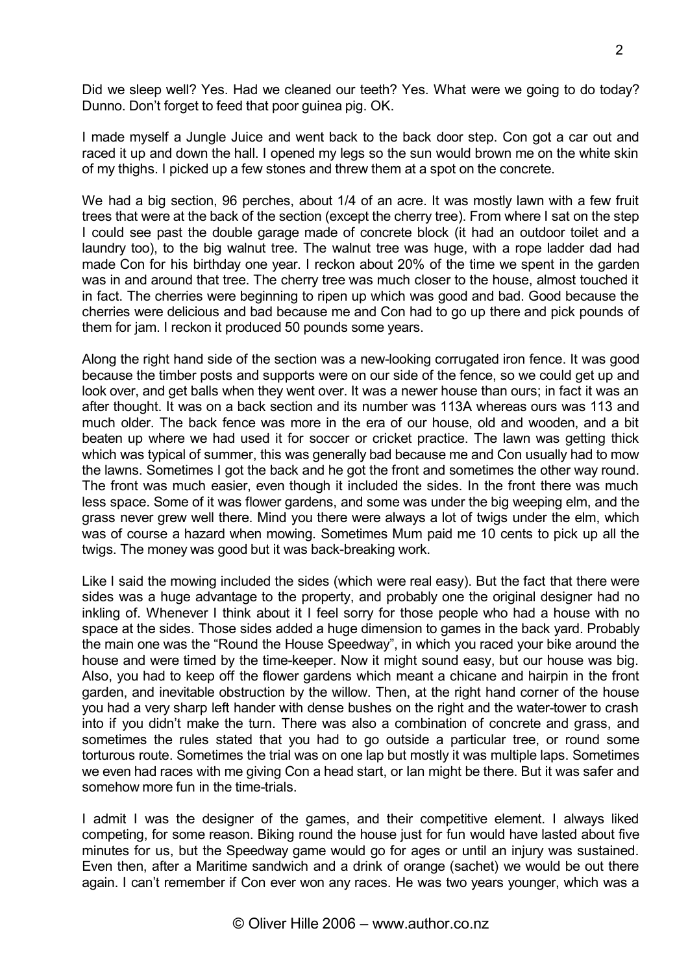Did we sleep well? Yes. Had we cleaned our teeth? Yes. What were we going to do today? Dunno. Don't forget to feed that poor guinea pig. OK.

I made myself a Jungle Juice and went back to the back door step. Con got a car out and raced it up and down the hall. I opened my legs so the sun would brown me on the white skin of my thighs. I picked up a few stones and threw them at a spot on the concrete.

We had a big section, 96 perches, about 1/4 of an acre. It was mostly lawn with a few fruit trees that were at the back of the section (except the cherry tree). From where I sat on the step I could see past the double garage made of concrete block (it had an outdoor toilet and a laundry too), to the big walnut tree. The walnut tree was huge, with a rope ladder dad had made Con for his birthday one year. I reckon about 20% of the time we spent in the garden was in and around that tree. The cherry tree was much closer to the house, almost touched it in fact. The cherries were beginning to ripen up which was good and bad. Good because the cherries were delicious and bad because me and Con had to go up there and pick pounds of them for jam. I reckon it produced 50 pounds some years.

Along the right hand side of the section was a new-looking corrugated iron fence. It was good because the timber posts and supports were on our side of the fence, so we could get up and look over, and get balls when they went over. It was a newer house than ours; in fact it was an after thought. It was on a back section and its number was 113A whereas ours was 113 and much older. The back fence was more in the era of our house, old and wooden, and a bit beaten up where we had used it for soccer or cricket practice. The lawn was getting thick which was typical of summer, this was generally bad because me and Con usually had to mow the lawns. Sometimes I got the back and he got the front and sometimes the other way round. The front was much easier, even though it included the sides. In the front there was much less space. Some of it was flower gardens, and some was under the big weeping elm, and the grass never grew well there. Mind you there were always a lot of twigs under the elm, which was of course a hazard when mowing. Sometimes Mum paid me 10 cents to pick up all the twigs. The money was good but it was back-breaking work.

Like I said the mowing included the sides (which were real easy). But the fact that there were sides was a huge advantage to the property, and probably one the original designer had no inkling of. Whenever I think about it I feel sorry for those people who had a house with no space at the sides. Those sides added a huge dimension to games in the back vard. Probably the main one was the "Round the House Speedway", in which you raced your bike around the house and were timed by the time-keeper. Now it might sound easy, but our house was big. Also, you had to keep off the flower gardens which meant a chicane and hairpin in the front garden, and inevitable obstruction by the willow. Then, at the right hand corner of the house you had a very sharp left hander with dense bushes on the right and the water-tower to crash into if you didn't make the turn. There was also a combination of concrete and grass, and sometimes the rules stated that you had to go outside a particular tree, or round some torturous route. Sometimes the trial was on one lap but mostly it was multiple laps. Sometimes we even had races with me giving Con a head start, or Ian might be there. But it was safer and somehow more fun in the time-trials.

I admit I was the designer of the games, and their competitive element. I always liked competing, for some reason. Biking round the house just for fun would have lasted about five minutes for us, but the Speedway game would go for ages or until an injury was sustained. Even then, after a Maritime sandwich and a drink of orange (sachet) we would be out there again. I can't remember if Con ever won any races. He was two years younger, which was a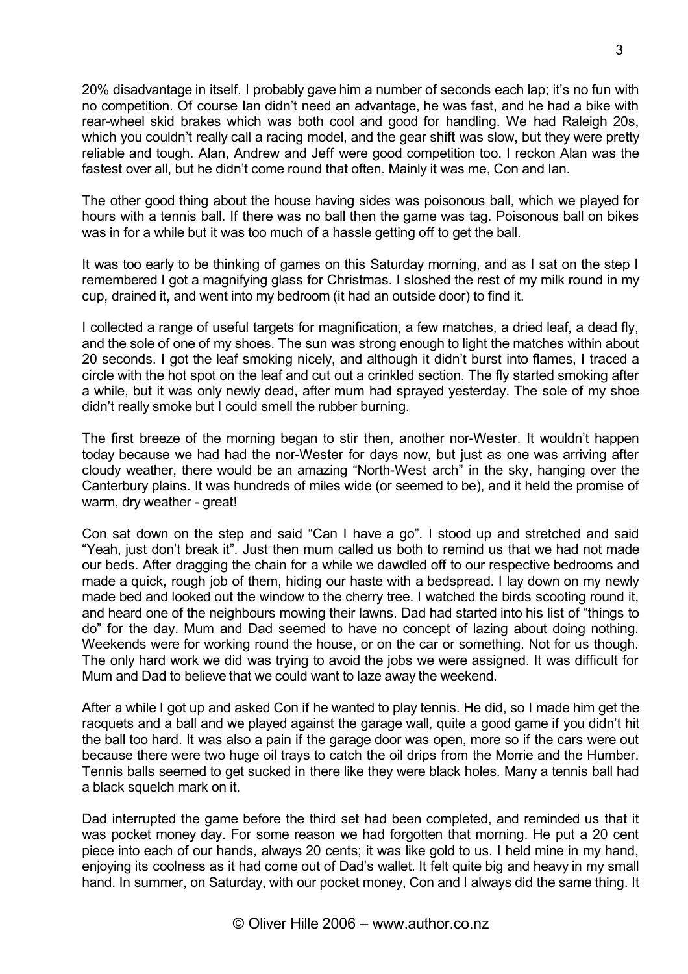20% disadvantage in itself. I probably gave him a number of seconds each lap; it's no fun with no competition. Of course Ian didn't need an advantage, he was fast, and he had a bike with rear-wheel skid brakes which was both cool and good for handling. We had Raleigh 20s, which you couldn't really call a racing model, and the gear shift was slow, but they were pretty reliable and tough. Alan, Andrew and Jeff were good competition too. I reckon Alan was the fastest over all, but he didn't come round that often. Mainly it was me, Con and Ian.

The other good thing about the house having sides was poisonous ball, which we played for hours with a tennis ball. If there was no ball then the game was tag. Poisonous ball on bikes was in for a while but it was too much of a hassle getting off to get the ball.

It was too early to be thinking of games on this Saturday morning, and as I sat on the step I remembered I got a magnifying glass for Christmas. I sloshed the rest of my milk round in my cup, drained it, and went into my bedroom (it had an outside door) to find it.

I collected a range of useful targets for magnification, a few matches, a dried leaf, a dead fly, and the sole of one of my shoes. The sun was strong enough to light the matches within about 20 seconds. I got the leaf smoking nicely, and although it didn't burst into flames, I traced a circle with the hot spot on the leaf and cut out a crinkled section. The fly started smoking after a while, but it was only newly dead, after mum had sprayed yesterday. The sole of my shoe didn't really smoke but I could smell the rubber burning.

The first breeze of the morning began to stir then, another nor-Wester. It wouldn't happen today because we had had the nor-Wester for days now, but just as one was arriving after cloudy weather, there would be an amazing "North-West arch" in the sky, hanging over the Canterbury plains. It was hundreds of miles wide (or seemed to be), and it held the promise of warm, dry weather - great!

Con sat down on the step and said "Can I have a go". I stood up and stretched and said "Yeah, just don't break it". Just then mum called us both to remind us that we had not made our beds. After dragging the chain for a while we dawdled off to our respective bedrooms and made a quick, rough job of them, hiding our haste with a bedspread. I lay down on my newly made bed and looked out the window to the cherry tree. I watched the birds scooting round it, and heard one of the neighbours mowing their lawns. Dad had started into his list of "things to do" for the day. Mum and Dad seemed to have no concept of lazing about doing nothing. Weekends were for working round the house, or on the car or something. Not for us though. The only hard work we did was trying to avoid the jobs we were assigned. It was difficult for Mum and Dad to believe that we could want to laze away the weekend.

After a while I got up and asked Con if he wanted to play tennis. He did, so I made him get the racquets and a ball and we played against the garage wall, quite a good game if you didn't hit the ball too hard. It was also a pain if the garage door was open, more so if the cars were out because there were two huge oil trays to catch the oil drips from the Morrie and the Humber. Tennis balls seemed to get sucked in there like they were black holes. Many a tennis ball had a black squelch mark on it.

Dad interrupted the game before the third set had been completed, and reminded us that it was pocket money day. For some reason we had forgotten that morning. He put a 20 cent piece into each of our hands, always 20 cents; it was like gold to us. I held mine in my hand, enjoying its coolness as it had come out of Dad's wallet. It felt quite big and heavy in my small hand. In summer, on Saturday, with our pocket money, Con and I always did the same thing. It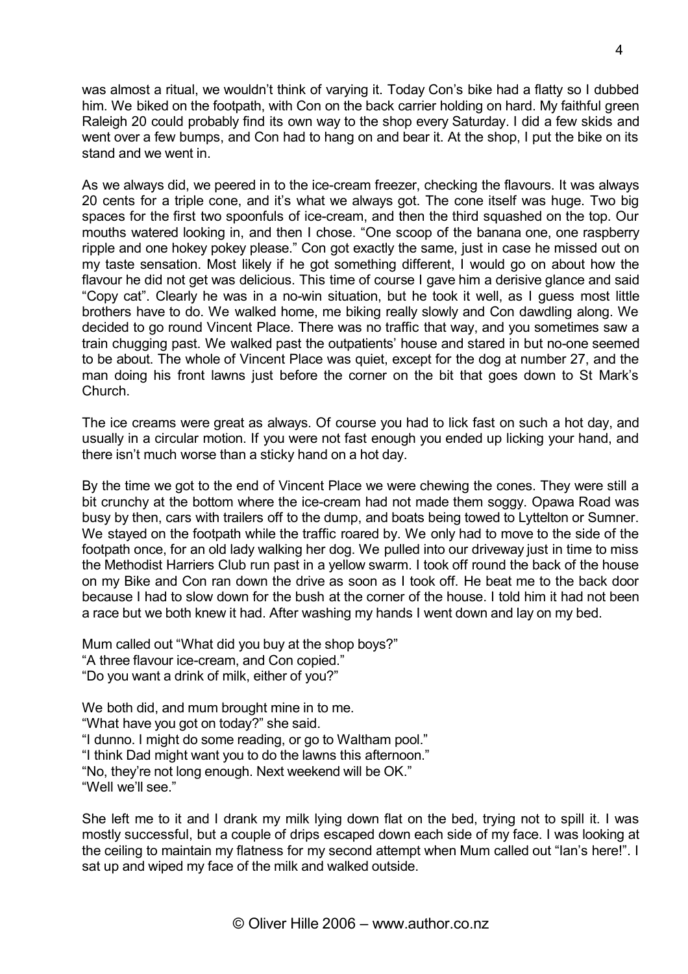was almost a ritual, we wouldn't think of varying it. Today Con's bike had a flatty so I dubbed him. We biked on the footpath, with Con on the back carrier holding on hard. My faithful green Raleigh 20 could probably find its own way to the shop every Saturday. I did a few skids and went over a few bumps, and Con had to hang on and bear it. At the shop, I put the bike on its stand and we went in.

As we always did, we peered in to the ice-cream freezer, checking the flavours. It was always 20 cents for a triple cone, and it's what we always got. The cone itself was huge. Two big spaces for the first two spoonfuls of ice-cream, and then the third squashed on the top. Our mouths watered looking in, and then I chose. "One scoop of the banana one, one raspberry ripple and one hokey pokey please." Con got exactly the same, just in case he missed out on my taste sensation. Most likely if he got something different, I would go on about how the flavour he did not get was delicious. This time of course I gave him a derisive glance and said "Copy cat". Clearly he was in a no-win situation, but he took it well, as I guess most little brothers have to do. We walked home, me biking really slowly and Con dawdling along. We decided to go round Vincent Place. There was no traffic that way, and you sometimes saw a train chugging past. We walked past the outpatients' house and stared in but no-one seemed to be about. The whole of Vincent Place was quiet, except for the dog at number 27, and the man doing his front lawns just before the corner on the bit that goes down to St Mark's Church.

The ice creams were great as always. Of course you had to lick fast on such a hot day, and usually in a circular motion. If you were not fast enough you ended up licking your hand, and there isn't much worse than a sticky hand on a hot day.

By the time we got to the end of Vincent Place we were chewing the cones. They were still a bit crunchy at the bottom where the ice-cream had not made them soggy. Opawa Road was busy by then, cars with trailers off to the dump, and boats being towed to Lyttelton or Sumner. We stayed on the footpath while the traffic roared by. We only had to move to the side of the footpath once, for an old lady walking her dog. We pulled into our driveway just in time to miss the Methodist Harriers Club run past in a yellow swarm. I took off round the back of the house on my Bike and Con ran down the drive as soon as I took off. He beat me to the back door because I had to slow down for the bush at the corner of the house. I told him it had not been a race but we both knew it had. After washing my hands I went down and lay on my bed.

Mum called out "What did you buy at the shop boys?" "A three flavour ice-cream, and Con copied." "Do you want a drink of milk, either of you?"

We both did, and mum brought mine in to me. "What have you got on today?" she said. "I dunno. I might do some reading, or go to Waltham pool." "I think Dad might want you to do the lawns this afternoon." "No, they're not long enough. Next weekend will be OK." "Well we'll see."

She left me to it and I drank my milk lying down flat on the bed, trying not to spill it. I was mostly successful, but a couple of drips escaped down each side of my face. I was looking at the ceiling to maintain my flatness for my second attempt when Mum called out "Ian's here!". I sat up and wiped my face of the milk and walked outside.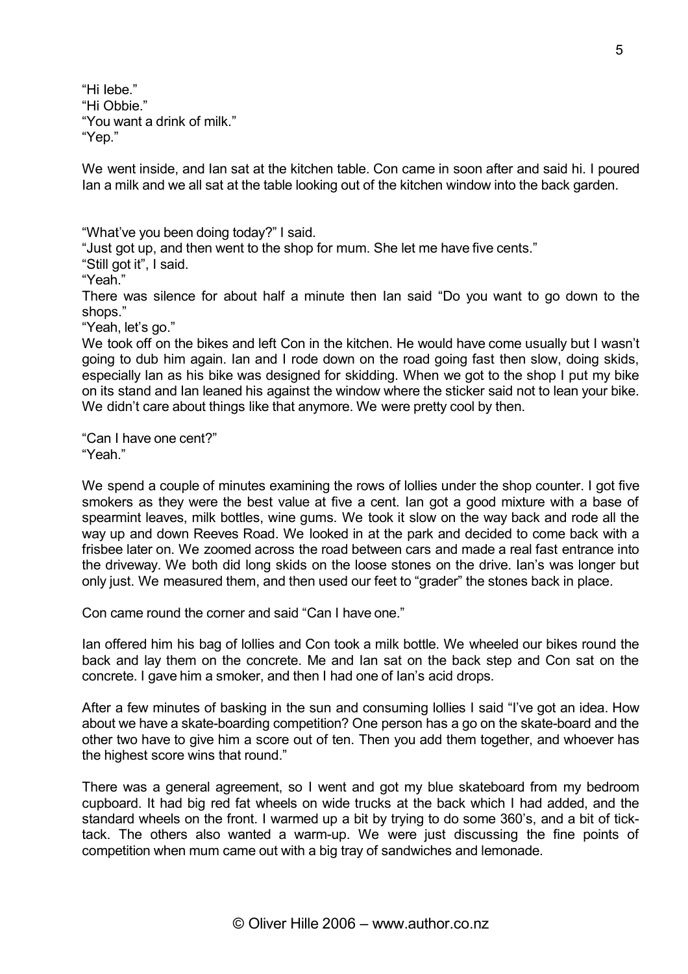"Hi Iebe." "Hi Obbie." "You want a drink of milk." "Yep."

We went inside, and Ian sat at the kitchen table. Con came in soon after and said hi. I poured Ian a milk and we all sat at the table looking out of the kitchen window into the back garden.

"What've you been doing today?" I said.

"Just got up, and then went to the shop for mum. She let me have five cents."

"Still got it", I said.

"Yeah."

There was silence for about half a minute then Ian said "Do you want to go down to the shops."

"Yeah, let's go."

We took off on the bikes and left Con in the kitchen. He would have come usually but I wasn't going to dub him again. Ian and I rode down on the road going fast then slow, doing skids, especially Ian as his bike was designed for skidding. When we got to the shop I put my bike on its stand and Ian leaned his against the window where the sticker said not to lean your bike. We didn't care about things like that anymore. We were pretty cool by then.

"Can I have one cent?" "Yeah."

We spend a couple of minutes examining the rows of lollies under the shop counter. I got five smokers as they were the best value at five a cent. Ian got a good mixture with a base of spearmint leaves, milk bottles, wine gums. We took it slow on the way back and rode all the way up and down Reeves Road. We looked in at the park and decided to come back with a frisbee later on. We zoomed across the road between cars and made a real fast entrance into the driveway. We both did long skids on the loose stones on the drive. Ian's was longer but only just. We measured them, and then used our feet to "grader" the stones back in place.

Con came round the corner and said "Can I have one."

Ian offered him his bag of lollies and Con took a milk bottle. We wheeled our bikes round the back and lay them on the concrete. Me and Ian sat on the back step and Con sat on the concrete. I gave him a smoker, and then I had one of Ian's acid drops.

After a few minutes of basking in the sun and consuming lollies I said "I've got an idea. How about we have a skate-boarding competition? One person has a go on the skate-board and the other two have to give him a score out of ten. Then you add them together, and whoever has the highest score wins that round."

There was a general agreement, so I went and got my blue skateboard from my bedroom cupboard. It had big red fat wheels on wide trucks at the back which I had added, and the standard wheels on the front. I warmed up a bit by trying to do some 360's, and a bit of ticktack. The others also wanted a warm-up. We were just discussing the fine points of competition when mum came out with a big tray of sandwiches and lemonade.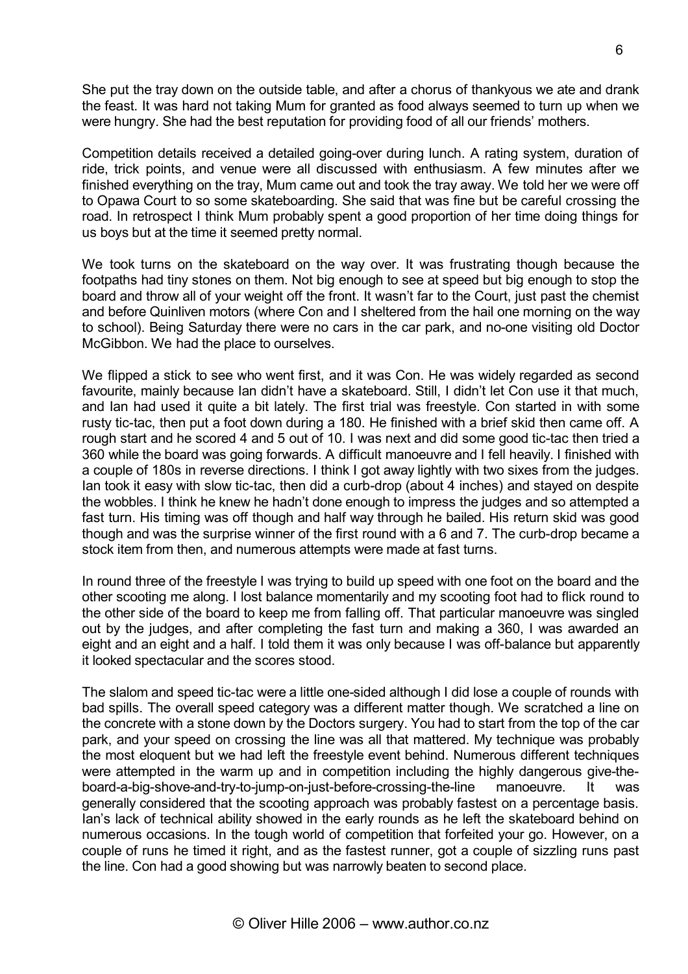She put the tray down on the outside table, and after a chorus of thankyous we ate and drank the feast. It was hard not taking Mum for granted as food always seemed to turn up when we were hungry. She had the best reputation for providing food of all our friends' mothers.

Competition details received a detailed going-over during lunch. A rating system, duration of ride, trick points, and venue were all discussed with enthusiasm. A few minutes after we finished everything on the tray, Mum came out and took the tray away. We told her we were off to Opawa Court to so some skateboarding. She said that was fine but be careful crossing the road. In retrospect I think Mum probably spent a good proportion of her time doing things for us boys but at the time it seemed pretty normal.

We took turns on the skateboard on the way over. It was frustrating though because the footpaths had tiny stones on them. Not big enough to see at speed but big enough to stop the board and throw all of your weight off the front. It wasn't far to the Court, just past the chemist and before Quinliven motors (where Con and I sheltered from the hail one morning on the way to school). Being Saturday there were no cars in the car park, and no-one visiting old Doctor McGibbon. We had the place to ourselves.

We flipped a stick to see who went first, and it was Con. He was widely regarded as second favourite, mainly because Ian didn't have a skateboard. Still, I didn't let Con use it that much, and Ian had used it quite a bit lately. The first trial was freestyle. Con started in with some rusty tic-tac, then put a foot down during a 180. He finished with a brief skid then came off. A rough start and he scored 4 and 5 out of 10. I was next and did some good tic-tac then tried a 360 while the board was going forwards. A difficult manoeuvre and I fell heavily. I finished with a couple of 180s in reverse directions. I think I got away lightly with two sixes from the judges. Ian took it easy with slow tic-tac, then did a curb-drop (about 4 inches) and stayed on despite the wobbles. I think he knew he hadn't done enough to impress the judges and so attempted a fast turn. His timing was off though and half way through he bailed. His return skid was good though and was the surprise winner of the first round with a 6 and 7. The curb-drop became a stock item from then, and numerous attempts were made at fast turns.

In round three of the freestyle I was trying to build up speed with one foot on the board and the other scooting me along. I lost balance momentarily and my scooting foot had to flick round to the other side of the board to keep me from falling off. That particular manoeuvre was singled out by the judges, and after completing the fast turn and making a 360, I was awarded an eight and an eight and a half. I told them it was only because I was off-balance but apparently it looked spectacular and the scores stood.

The slalom and speed tic-tac were a little one-sided although I did lose a couple of rounds with bad spills. The overall speed category was a different matter though. We scratched a line on the concrete with a stone down by the Doctors surgery. You had to start from the top of the car park, and your speed on crossing the line was all that mattered. My technique was probably the most eloquent but we had left the freestyle event behind. Numerous different techniques were attempted in the warm up and in competition including the highly dangerous give-theboard-a-big-shove-and-try-to-jump-on-just-before-crossing-the-line manoeuvre. It was generally considered that the scooting approach was probably fastest on a percentage basis. Ian's lack of technical ability showed in the early rounds as he left the skateboard behind on numerous occasions. In the tough world of competition that forfeited your go. However, on a couple of runs he timed it right, and as the fastest runner, got a couple of sizzling runs past the line. Con had a good showing but was narrowly beaten to second place.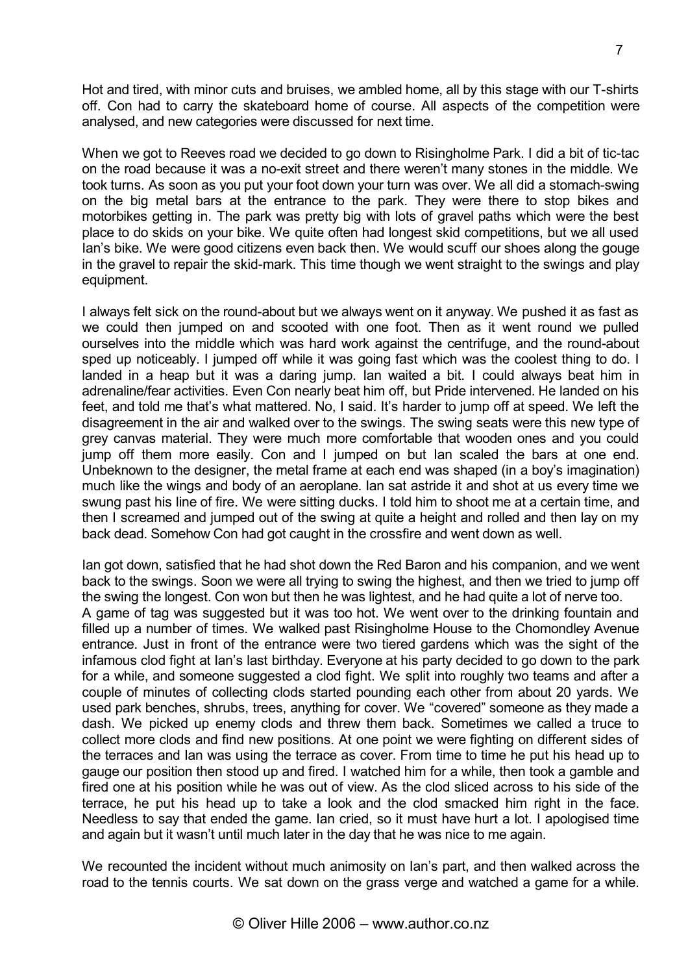Hot and tired, with minor cuts and bruises, we ambled home, all by this stage with our T-shirts off. Con had to carry the skateboard home of course. All aspects of the competition were analysed, and new categories were discussed for next time.

When we got to Reeves road we decided to go down to Risingholme Park. I did a bit of tic-tac on the road because it was a no-exit street and there weren't many stones in the middle. We took turns. As soon as you put your foot down your turn was over. We all did a stomach-swing on the big metal bars at the entrance to the park. They were there to stop bikes and motorbikes getting in. The park was pretty big with lots of gravel paths which were the best place to do skids on your bike. We quite often had longest skid competitions, but we all used Ian's bike. We were good citizens even back then. We would scuff our shoes along the gouge in the gravel to repair the skid-mark. This time though we went straight to the swings and play equipment.

I always felt sick on the round-about but we always went on it anyway. We pushed it as fast as we could then jumped on and scooted with one foot. Then as it went round we pulled ourselves into the middle which was hard work against the centrifuge, and the round-about sped up noticeably. I jumped off while it was going fast which was the coolest thing to do. I landed in a heap but it was a daring jump. Ian waited a bit. I could always beat him in adrenaline/fear activities. Even Con nearly beat him off, but Pride intervened. He landed on his feet, and told me that's what mattered. No, I said. It's harder to jump off at speed. We left the disagreement in the air and walked over to the swings. The swing seats were this new type of grey canvas material. They were much more comfortable that wooden ones and you could jump off them more easily. Con and I jumped on but Ian scaled the bars at one end. Unbeknown to the designer, the metal frame at each end was shaped (in a boy's imagination) much like the wings and body of an aeroplane. Ian sat astride it and shot at us every time we swung past his line of fire. We were sitting ducks. I told him to shoot me at a certain time, and then I screamed and jumped out of the swing at quite a height and rolled and then lay on my back dead. Somehow Con had got caught in the crossfire and went down as well.

Ian got down, satisfied that he had shot down the Red Baron and his companion, and we went back to the swings. Soon we were all trying to swing the highest, and then we tried to jump off the swing the longest. Con won but then he was lightest, and he had quite a lot of nerve too. A game of tag was suggested but it was too hot. We went over to the drinking fountain and filled up a number of times. We walked past Risingholme House to the Chomondley Avenue entrance. Just in front of the entrance were two tiered gardens which was the sight of the infamous clod fight at Ian's last birthday. Everyone at his party decided to go down to the park for a while, and someone suggested a clod fight. We split into roughly two teams and after a couple of minutes of collecting clods started pounding each other from about 20 yards. We used park benches, shrubs, trees, anything for cover. We "covered" someone as they made a dash. We picked up enemy clods and threw them back. Sometimes we called a truce to collect more clods and find new positions. At one point we were fighting on different sides of the terraces and Ian was using the terrace as cover. From time to time he put his head up to gauge our position then stood up and fired. I watched him for a while, then took a gamble and fired one at his position while he was out of view. As the clod sliced across to his side of the terrace, he put his head up to take a look and the clod smacked him right in the face. Needless to say that ended the game. Ian cried, so it must have hurt a lot. I apologised time and again but it wasn't until much later in the day that he was nice to me again.

We recounted the incident without much animosity on Ian's part, and then walked across the road to the tennis courts. We sat down on the grass verge and watched a game for a while.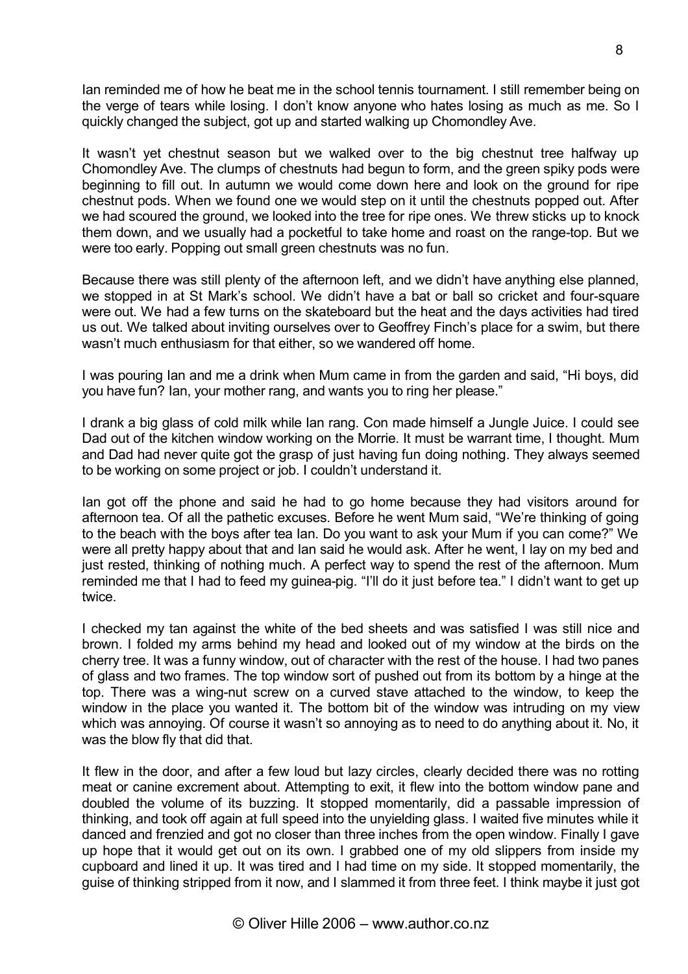Ian reminded me of how he beat me in the school tennis tournament. I still remember being on the verge of tears while losing. I don't know anyone who hates losing as much as me. So I quickly changed the subject, got up and started walking up Chomondley Ave.

It wasn't yet chestnut season but we walked over to the big chestnut tree halfway up Chomondley Ave. The clumps of chestnuts had begun to form, and the green spiky pods were beginning to fill out. In autumn we would come down here and look on the ground for ripe chestnut pods. When we found one we would step on it until the chestnuts popped out. After we had scoured the ground, we looked into the tree for ripe ones. We threw sticks up to knock them down, and we usually had a pocketful to take home and roast on the range-top. But we were too early. Popping out small green chestnuts was no fun.

Because there was still plenty of the afternoon left, and we didn't have anything else planned, we stopped in at St Mark's school. We didn't have a bat or ball so cricket and four-square were out. We had a few turns on the skateboard but the heat and the days activities had tired us out. We talked about inviting ourselves over to Geoffrey Finch's place for a swim, but there wasn't much enthusiasm for that either, so we wandered off home.

I was pouring Ian and me a drink when Mum came in from the garden and said, "Hi boys, did you have fun? Ian, your mother rang, and wants you to ring her please."

I drank a big glass of cold milk while Ian rang. Con made himself a Jungle Juice. I could see Dad out of the kitchen window working on the Morrie. It must be warrant time, I thought. Mum and Dad had never quite got the grasp of just having fun doing nothing. They always seemed to be working on some project or job. I couldn't understand it.

Ian got off the phone and said he had to go home because they had visitors around for afternoon tea. Of all the pathetic excuses. Before he went Mum said, "We're thinking of going to the beach with the boys after tea Ian. Do you want to ask your Mum if you can come?" We were all pretty happy about that and Ian said he would ask. After he went, I lay on my bed and just rested, thinking of nothing much. A perfect way to spend the rest of the afternoon. Mum reminded me that I had to feed my guinea-pig. "I'll do it just before tea." I didn't want to get up twice.

I checked my tan against the white of the bed sheets and was satisfied I was still nice and brown. I folded my arms behind my head and looked out of my window at the birds on the cherry tree. It was a funny window, out of character with the rest of the house. I had two panes of glass and two frames. The top window sort of pushed out from its bottom by a hinge at the top. There was a wing-nut screw on a curved stave attached to the window, to keep the window in the place you wanted it. The bottom bit of the window was intruding on my view which was annoying. Of course it wasn't so annoying as to need to do anything about it. No, it was the blow fly that did that.

It flew in the door, and after a few loud but lazy circles, clearly decided there was no rotting meat or canine excrement about. Attempting to exit, it flew into the bottom window pane and doubled the volume of its buzzing. It stopped momentarily, did a passable impression of thinking, and took off again at full speed into the unyielding glass. I waited five minutes while it danced and frenzied and got no closer than three inches from the open window. Finally I gave up hope that it would get out on its own. I grabbed one of my old slippers from inside my cupboard and lined it up. It was tired and I had time on my side. It stopped momentarily, the guise of thinking stripped from it now, and I slammed it from three feet. I think maybe it just got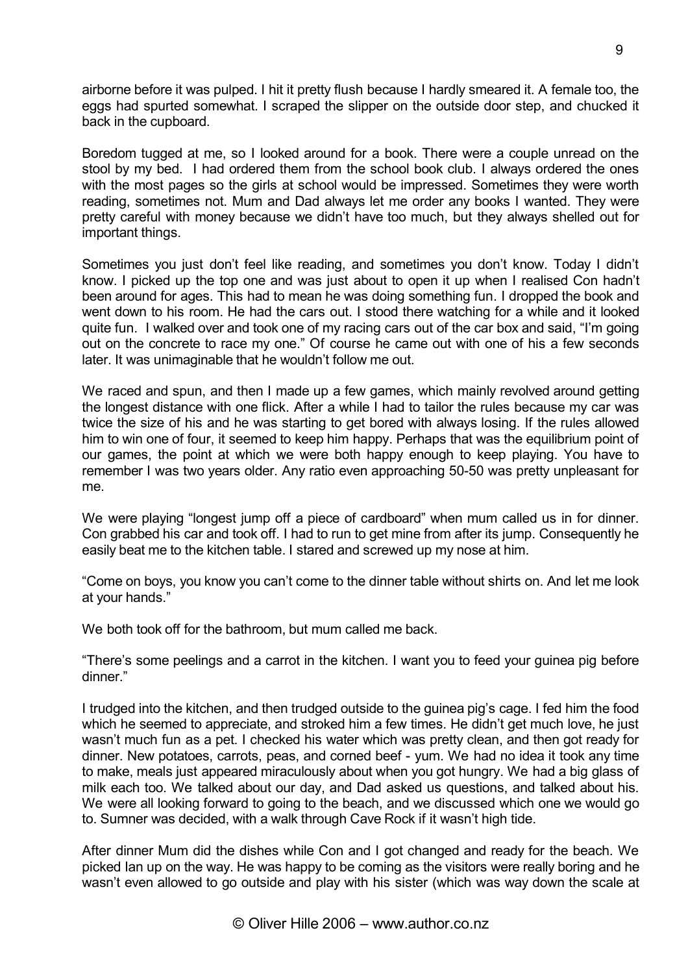airborne before it was pulped. I hit it pretty flush because I hardly smeared it. A female too, the eggs had spurted somewhat. I scraped the slipper on the outside door step, and chucked it back in the cupboard.

Boredom tugged at me, so I looked around for a book. There were a couple unread on the stool by my bed. I had ordered them from the school book club. I always ordered the ones with the most pages so the girls at school would be impressed. Sometimes they were worth reading, sometimes not. Mum and Dad always let me order any books I wanted. They were pretty careful with money because we didn't have too much, but they always shelled out for important things.

Sometimes you just don't feel like reading, and sometimes you don't know. Today I didn't know. I picked up the top one and was just about to open it up when I realised Con hadn't been around for ages. This had to mean he was doing something fun. I dropped the book and went down to his room. He had the cars out. I stood there watching for a while and it looked quite fun. I walked over and took one of my racing cars out of the car box and said, "I'm going out on the concrete to race my one." Of course he came out with one of his a few seconds later. It was unimaginable that he wouldn't follow me out.

We raced and spun, and then I made up a few games, which mainly revolved around getting the longest distance with one flick. After a while I had to tailor the rules because my car was twice the size of his and he was starting to get bored with always losing. If the rules allowed him to win one of four, it seemed to keep him happy. Perhaps that was the equilibrium point of our games, the point at which we were both happy enough to keep playing. You have to remember I was two years older. Any ratio even approaching 50-50 was pretty unpleasant for me.

We were playing "longest jump off a piece of cardboard" when mum called us in for dinner. Con grabbed his car and took off. I had to run to get mine from after its jump. Consequently he easily beat me to the kitchen table. I stared and screwed up my nose at him.

"Come on boys, you know you can't come to the dinner table without shirts on. And let me look at your hands."

We both took off for the bathroom, but mum called me back.

"There's some peelings and a carrot in the kitchen. I want you to feed your guinea pig before dinner."

I trudged into the kitchen, and then trudged outside to the guinea pig's cage. I fed him the food which he seemed to appreciate, and stroked him a few times. He didn't get much love, he just wasn't much fun as a pet. I checked his water which was pretty clean, and then got ready for dinner. New potatoes, carrots, peas, and corned beef - yum. We had no idea it took any time to make, meals just appeared miraculously about when you got hungry. We had a big glass of milk each too. We talked about our day, and Dad asked us questions, and talked about his. We were all looking forward to going to the beach, and we discussed which one we would go to. Sumner was decided, with a walk through Cave Rock if it wasn't high tide.

After dinner Mum did the dishes while Con and I got changed and ready for the beach. We picked Ian up on the way. He was happy to be coming as the visitors were really boring and he wasn't even allowed to go outside and play with his sister (which was way down the scale at